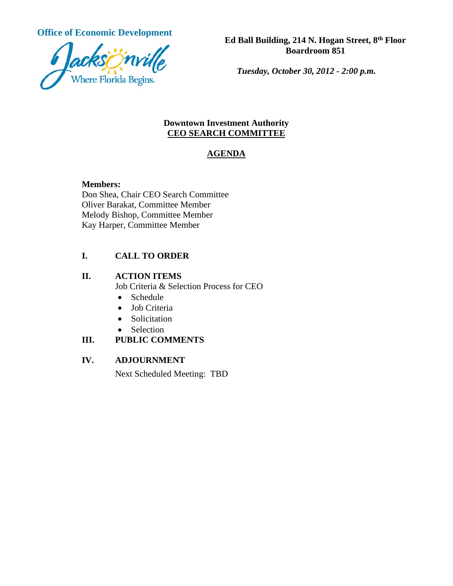

*Tuesday, October 30, 2012 - 2:00 p.m.*

#### **Downtown Investment Authority CEO SEARCH COMMITTEE**

## **AGENDA**

#### **Members:**

Don Shea, Chair CEO Search Committee Oliver Barakat, Committee Member Melody Bishop, Committee Member Kay Harper, Committee Member

# **I. CALL TO ORDER**

#### **II. ACTION ITEMS**

Job Criteria & Selection Process for CEO

- Schedule
- Job Criteria
- Solicitation
- Selection

## **III. PUBLIC COMMENTS**

## **IV. ADJOURNMENT**

Next Scheduled Meeting: TBD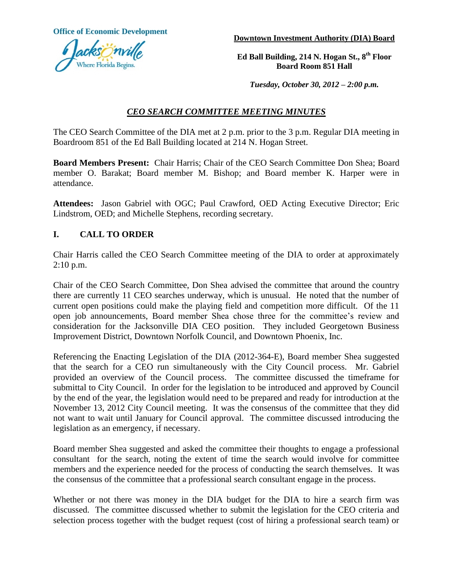**Office of Economic Development**



**Downtown Investment Authority (DIA) Board**

**Ed Ball Building, 214 N. Hogan St., 8th Floor Board Room 851 Hall**

*Tuesday, October 30, 2012 – 2:00 p.m.*

## *CEO SEARCH COMMITTEE MEETING MINUTES*

The CEO Search Committee of the DIA met at 2 p.m. prior to the 3 p.m. Regular DIA meeting in Boardroom 851 of the Ed Ball Building located at 214 N. Hogan Street.

**Board Members Present:** Chair Harris; Chair of the CEO Search Committee Don Shea; Board member O. Barakat; Board member M. Bishop; and Board member K. Harper were in attendance.

**Attendees:** Jason Gabriel with OGC; Paul Crawford, OED Acting Executive Director; Eric Lindstrom, OED; and Michelle Stephens, recording secretary.

#### **I. CALL TO ORDER**

Chair Harris called the CEO Search Committee meeting of the DIA to order at approximately 2:10 p.m.

Chair of the CEO Search Committee, Don Shea advised the committee that around the country there are currently 11 CEO searches underway, which is unusual. He noted that the number of current open positions could make the playing field and competition more difficult. Of the 11 open job announcements, Board member Shea chose three for the committee's review and consideration for the Jacksonville DIA CEO position. They included Georgetown Business Improvement District, Downtown Norfolk Council, and Downtown Phoenix, Inc.

Referencing the Enacting Legislation of the DIA (2012-364-E), Board member Shea suggested that the search for a CEO run simultaneously with the City Council process. Mr. Gabriel provided an overview of the Council process. The committee discussed the timeframe for submittal to City Council. In order for the legislation to be introduced and approved by Council by the end of the year, the legislation would need to be prepared and ready for introduction at the November 13, 2012 City Council meeting. It was the consensus of the committee that they did not want to wait until January for Council approval. The committee discussed introducing the legislation as an emergency, if necessary.

Board member Shea suggested and asked the committee their thoughts to engage a professional consultant for the search, noting the extent of time the search would involve for committee members and the experience needed for the process of conducting the search themselves. It was the consensus of the committee that a professional search consultant engage in the process.

Whether or not there was money in the DIA budget for the DIA to hire a search firm was discussed. The committee discussed whether to submit the legislation for the CEO criteria and selection process together with the budget request (cost of hiring a professional search team) or